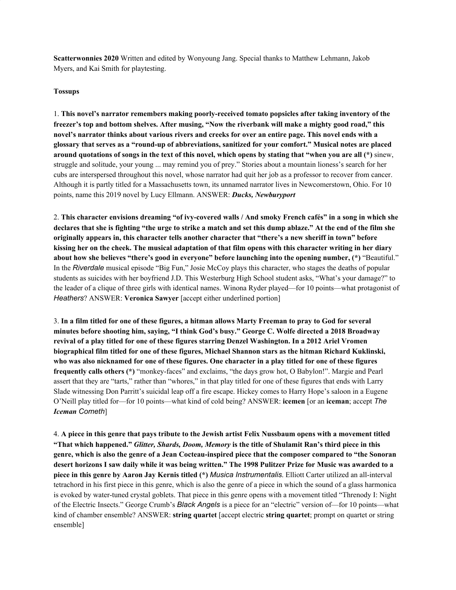**Scatterwonnies 2020** Written and edited by Wonyoung Jang. Special thanks to Matthew Lehmann, Jakob Myers, and Kai Smith for playtesting.

## **Tossups**

1. **This novel's narrator remembers making poorly-received tomato popsicles after taking inventory of the freezer's top and bottom shelves. After musing, "Now the riverbank will make a mighty good road," this** novel's narrator thinks about various rivers and creeks for over an entire page. This novel ends with a **glossary that serves as a "round-up of abbreviations, sanitized for your comfort." Musical notes are placed** around quotations of songs in the text of this novel, which opens by stating that "when you are all  $(*)$  sinew, struggle and solitude, your young ... may remind you of prey." Stories about a mountain lioness's search for her cubs are interspersed throughout this novel, whose narrator had quit her job as a professor to recover from cancer. Although it is partly titled for a Massachusetts town, its unnamed narrator lives in Newcomerstown, Ohio. For 10 points, name this 2019 novel by Lucy Ellmann. ANSWER: *Ducks, Newburyport*

2. This character envisions dreaming "of ivy-covered walls / And smoky French cafés" in a song in which she declares that she is fighting "the urge to strike a match and set this dump ablaze." At the end of the film she **originally appears in, this character tells another character that "there's a new sheriff in town" before** kissing her on the cheek. The musical adaptation of that film opens with this character writing in her diary **about how she believes "there's good in everyone" before launching into the opening number, (\*)** "Beautiful." In the *Riverdale* musical episode "Big Fun," Josie McCoy plays this character, who stages the deaths of popular students as suicides with her boyfriend J.D. This Westerburg High School student asks, "What's your damage?" to the leader of a clique of three girls with identical names. Winona Ryder played––for 10 points––what protagonist of *Heathers*? ANSWER: **Veronica Sawyer** [accept either underlined portion]

3. In a film titled for one of these figures, a hitman allows Marty Freeman to pray to God for several **minutes before shooting him, saying, "I think God's busy." George C. Wolfe directed a 2018 Broadway** revival of a play titled for one of these figures starring Denzel Washington. In a 2012 Ariel Vromen **biographical film titled for one of these figures, Michael Shannon stars as the hitman Richard Kuklinski,** who was also nicknamed for one of these figures. One character in a play titled for one of these figures **frequently calls others (\*)** "monkey-faces" and exclaims, "the days grow hot, O Babylon!". Margie and Pearl assert that they are "tarts," rather than "whores," in that play titled for one of these figures that ends with Larry Slade witnessing Don Parritt's suicidal leap off a fire escape. Hickey comes to Harry Hope's saloon in a Eugene O'Neill play titled for––for 10 points––what kind of cold being? ANSWER: **icemen** [or an **iceman**; accept *The Iceman Cometh*]

4. A piece in this genre that pays tribute to the Jewish artist Felix Nussbaum opens with a movement titled **"That which happened."** *Glitter, Shards, Doom, Memory* **is the title of Shulamit Ran's third piece in this** genre, which is also the genre of a Jean Cocteau-inspired piece that the composer compared to "the Sonoran" desert horizons I saw daily while it was being written." The 1998 Pulitzer Prize for Music was awarded to a **piece in this genre by Aaron Jay Kernis titled (\*)** *Musica Instrumentalis*. Elliott Carter utilized an all-interval tetrachord in his first piece in this genre, which is also the genre of a piece in which the sound of a glass harmonica is evoked by water-tuned crystal goblets. That piece in this genre opens with a movement titled "Threnody I: Night of the Electric Insects." George Crumb's *Black Angels* is a piece for an "electric" version of––for 10 points––what kind of chamber ensemble? ANSWER: **string quartet** [accept electric **string quartet**; prompt on quartet or string ensemble]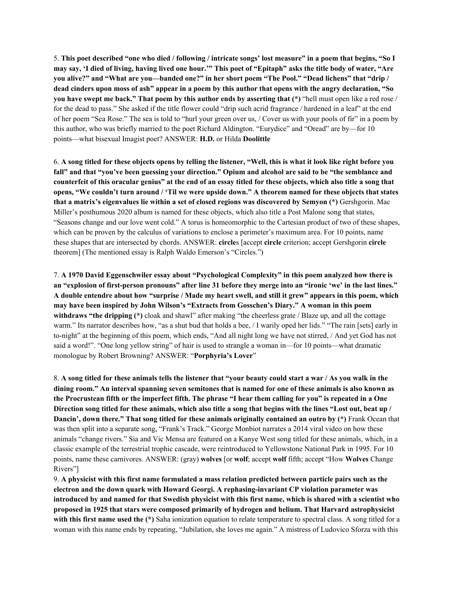5. This poet described "one who died / following / intricate songs' lost measure" in a poem that begins, "So I may say, 'I died of living, having lived one hour." This poet of "Epitaph" asks the title body of water, "Are you alive?" and "What are you-banded one?" in her short poem "The Pool." "Dead lichens" that "drip / dead cinders upon moss of ash" appear in a poem by this author that opens with the angry declaration, "So **you have swept me back." That poem by this author ends by asserting that (\*)** "hell must open like a red rose / for the dead to pass." She asked if the title flower could "drip such acrid fragrance / hardened in a leaf" at the end of her poem "Sea Rose." The sea is told to "hurl your green over us, / Cover us with your pools of fir" in a poem by this author, who was briefly married to the poet Richard Aldington. "Eurydice" and "Oread" are by––for 10 points––what bisexual Imagist poet? ANSWER: **H.D.** or Hilda **Doolittle**

6. A song titled for these objects opens by telling the listener, "Well, this is what it look like right before you fall" and that "you've been guessing your direction." Opium and alcohol are said to be "the semblance and counterfeit of this oracular genius" at the end of an essay titled for these objects, which also title a song that opens, "We couldn't turn around / 'Til we were upside down." A theorem named for these objects that states **that a matrix's eigenvalues lie within a set of closed regions was discovered by Semyon (\*)** Gershgorin. Mac Miller's posthumous 2020 album is named for these objects, which also title a Post Malone song that states, "Seasons change and our love went cold." A torus is homeomorphic to the Cartesian product of two of these shapes, which can be proven by the calculus of variations to enclose a perimeter's maximum area. For 10 points, name these shapes that are intersected by chords. ANSWER: **circle**s [accept **circle** criterion; accept Gershgorin **circle** theorem] (The mentioned essay is Ralph Waldo Emerson's "Circles.")

7. **A 1970 David Eggenschwiler essay about "Psychological Complexity" in this poem analyzed how there is** an "explosion of first-person pronouns" after line 31 before they merge into an "ironic 'we' in the last lines." A double entendre about how "surprise / Made my heart swell, and still it grew" appears in this poem, which **may have been inspired by John Wilson's "Extracts from Gosschen's Diary." A woman in this poem withdraws "the dripping (\*)** cloak and shawl" after making "the cheerless grate / Blaze up, and all the cottage warm." Its narrator describes how, "as a shut bud that holds a bee, / I warily oped her lids." "The rain [sets] early in to-night" at the beginning of this poem, which ends, "And all night long we have not stirred, / And yet God has not said a word!". "One long yellow string" of hair is used to strangle a woman in––for 10 points––what dramatic monologue by Robert Browning? ANSWER: "**Porphyria's Lover**"

8. A song titled for these animals tells the listener that "your beauty could start a war / As you walk in the dining room." An interval spanning seven semitones that is named for one of these animals is also known as the Procrustean fifth or the imperfect fifth. The phrase "I hear them calling for you" is repeated in a One Direction song titled for these animals, which also title a song that begins with the lines "Lost out, beat up / **Dancin', down there." That song titled for these animals originally contained an outro by (\*)** Frank Ocean that was then split into a separate song, "Frank's Track." George Monbiot narrates a 2014 viral video on how these animals "change rivers." Sia and Vic Mensa are featured on a Kanye West song titled for these animals, which, in a classic example of the terrestrial trophic cascade, were reintroduced to Yellowstone National Park in 1995. For 10 points, name these carnivores. ANSWER: (gray) **wolves** [or **wolf**; accept **wolf** fifth; accept "How **Wolves** Change Rivers"]

9. A physicist with this first name formulated a mass relation predicted between particle pairs such as the **electron and the down quark with Howard Georgi. A rephasing-invariant CP violation parameter was** introduced by and named for that Swedish physicist with this first name, which is shared with a scientist who **proposed in 1925 that stars were composed primarily of hydrogen and helium. That Harvard astrophysicist with this first name used the (\*)** Saha ionization equation to relate temperature to spectral class. A song titled for a woman with this name ends by repeating, "Jubilation, she loves me again." A mistress of Ludovico Sforza with this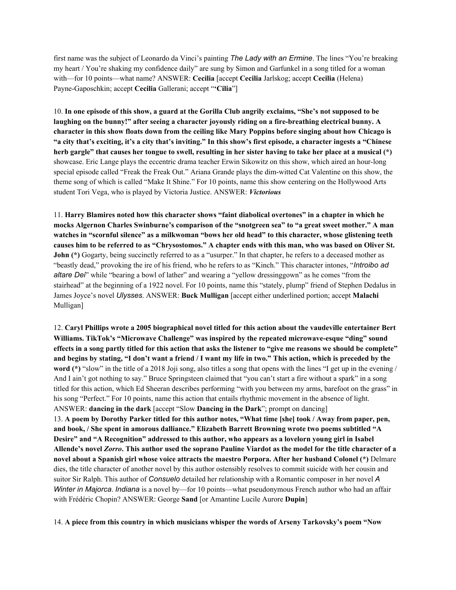first name was the subject of Leonardo da Vinci's painting *The Lady with an Ermine*. The lines "You're breaking my heart / You're shaking my confidence daily" are sung by Simon and Garfunkel in a song titled for a woman with––for 10 points––what name? ANSWER: **Cecilia** [accept **Cecilia** Jarlskog; accept **Cecilia** (Helena) Payne-Gaposchkin; accept **Cecilia** Gallerani; accept "**'Cilia**"]

10. In one episode of this show, a guard at the Gorilla Club angrily exclaims, "She's not supposed to be **laughing on the bunny!" after seeing a character joyously riding on a fire-breathing electrical bunny. A** character in this show floats down from the ceiling like Mary Poppins before singing about how Chicago is "a city that's exciting, it's a city that's inviting." In this show's first episode, a character ingests a "Chinese herb gargle" that causes her tongue to swell, resulting in her sister having to take her place at a musical (\*) showcase. Eric Lange plays the eccentric drama teacher Erwin Sikowitz on this show, which aired an hour-long special episode called "Freak the Freak Out." Ariana Grande plays the dim-witted Cat Valentine on this show, the theme song of which is called "Make It Shine." For 10 points, name this show centering on the Hollywood Arts student Tori Vega, who is played by Victoria Justice. ANSWER: *Victorious*

11. **Harry Blamires noted how this character shows "faint diabolical overtones" in a chapter in which he mocks Algernon Charles Swinburne's comparison of the "snotgreen sea" to "a great sweet mother." A man** watches in "scornful silence" as a milkwoman "bows her old head" to this character, whose glistening teeth causes him to be referred to as "Chrysostomos." A chapter ends with this man, who was based on Oliver St. **John**  $(*)$  Gogarty, being succinctly referred to as a "usurper." In that chapter, he refers to a deceased mother as "beastly dead," provoking the ire of his friend, who he refers to as "Kinch." This character intones, "*Introibo ad altare Dei*" while "bearing a bowl of lather" and wearing a "yellow dressinggown" as he comes "from the stairhead" at the beginning of a 1922 novel. For 10 points, name this "stately, plump" friend of Stephen Dedalus in James Joyce's novel *Ulysses*. ANSWER: **Buck Mulligan** [accept either underlined portion; accept **Malachi** Mulligan]

12. **Caryl Phillips wrote a 2005 biographical novel titled for this action about the vaudeville entertainer Bert Williams. TikTok's "Microwave Challenge" was inspired by the repeated microwave-esque "ding" sound** effects in a song partly titled for this action that asks the listener to "give me reasons we should be complete" and begins by stating, "I don't want a friend / I want my life in two." This action, which is preceded by the **word** (\*) "slow" in the title of a 2018 Joji song, also titles a song that opens with the lines "I get up in the evening / And I ain't got nothing to say." Bruce Springsteen claimed that "you can't start a fire without a spark" in a song titled for this action, which Ed Sheeran describes performing "with you between my arms, barefoot on the grass" in his song "Perfect." For 10 points, name this action that entails rhythmic movement in the absence of light. ANSWER: **dancing in the dark** [accept "Slow **Dancing in the Dark**"; prompt on dancing] 13. A poem by Dorothy Parker titled for this author notes, "What time [she] took / Away from paper, pen, **and book, / She spent in amorous dalliance." Elizabeth Barrett Browning wrote two poems subtitled "A Desire" and "A Recognition" addressed to this author, who appears as a lovelorn young girl in Isabel** Allende's novel *Zorro*. This author used the soprano Pauline Viardot as the model for the title character of a **novel about a Spanish girl whose voice attracts the maestro Porpora. After her husband Colonel (\*)** Delmare dies, the title character of another novel by this author ostensibly resolves to commit suicide with her cousin and suitor Sir Ralph. This author of *Consuelo* detailed her relationship with a Romantic composer in her novel *A Winter in Majorca*. *Indiana* is a novel by––for 10 points––what pseudonymous French author who had an affair with Frédéric Chopin? ANSWER: George **Sand** [or Amantine Lucile Aurore **Dupin**]

14. **A piece from this country in which musicians whisper the words of Arseny Tarkovsky's poem "Now**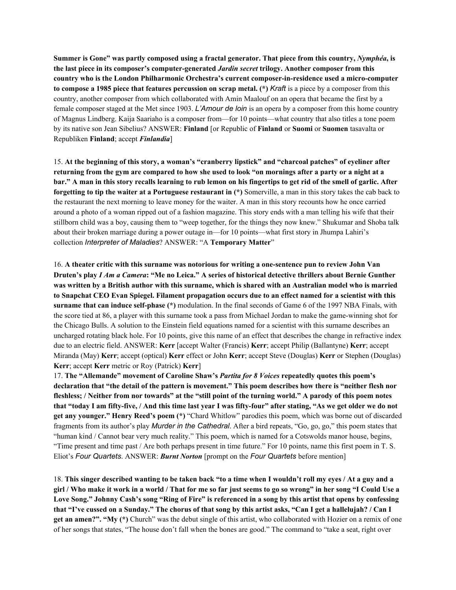Summer is Gone" was partly composed using a fractal generator. That piece from this country, *Nymphéa*, is **the last piece in its composer's computer-generated** *Jardin secret* **trilogy. Another composer from this country who is the London Philharmonic Orchestra's current composer-in-residence used a micro-computer to compose a 1985 piece that features percussion on scrap metal. (\*)** *Kraft* is a piece by a composer from this country, another composer from which collaborated with Amin Maalouf on an opera that became the first by a female composer staged at the Met since 1903. *L'Amour de loin* is an opera by a composer from this home country of Magnus Lindberg. Kaija Saariaho is a composer from––for 10 points––what country that also titles a tone poem by its native son Jean Sibelius? ANSWER: **Finland** [or Republic of **Finland** or **Suomi** or **Suomen** tasavalta or Republiken **Finland**; accept *Finlandia*]

15. **At the beginning of this story, a woman's "cranberry lipstick" and "charcoal patches" of eyeliner after** returning from the gym are compared to how she used to look "on mornings after a party or a night at a bar." A man in this story recalls learning to rub lemon on his fingertips to get rid of the smell of garlic. After **forgetting to tip the waiter at a Portuguese restaurant in (\*)** Somerville, a man in this story takes the cab back to the restaurant the next morning to leave money for the waiter. A man in this story recounts how he once carried around a photo of a woman ripped out of a fashion magazine. This story ends with a man telling his wife that their stillborn child was a boy, causing them to "weep together, for the things they now knew." Shukumar and Shoba talk about their broken marriage during a power outage in––for 10 points––what first story in Jhumpa Lahiri's collection *Interpreter of Maladies*? ANSWER: "A **Temporary Matter**"

16. **A theater critic with this surname was notorious for writing a one-sentence pun to review John Van** Druten's play I Am a Camera: "Me no Leica." A series of historical detective thrillers about Bernie Gunther was written by a British author with this surname, which is shared with an Australian model who is married to Snapchat CEO Evan Spiegel. Filament propagation occurs due to an effect named for a scientist with this **surname that can induce self-phase (\*)** modulation. In the final seconds of Game 6 of the 1997 NBA Finals, with the score tied at 86, a player with this surname took a pass from Michael Jordan to make the game-winning shot for the Chicago Bulls. A solution to the Einstein field equations named for a scientist with this surname describes an uncharged rotating black hole. For 10 points, give this name of an effect that describes the change in refractive index due to an electric field. ANSWER: **Kerr** [accept Walter (Francis) **Kerr**; accept Philip (Ballantyne) **Kerr**; accept Miranda (May) **Kerr**; accept (optical) **Kerr** effect or John **Kerr**; accept Steve (Douglas) **Kerr** or Stephen (Douglas) **Kerr**; accept **Kerr** metric or Roy (Patrick) **Kerr**]

17. **The "Allemande" movement of Caroline Shaw's** *Partita for 8 Voices* **repeatedly quotes this poem's** declaration that "the detail of the pattern is movement." This poem describes how there is "neither flesh nor fleshless; / Neither from nor towards" at the "still point of the turning world." A parody of this poem notes that "today I am fifty-five, / And this time last year I was fifty-four" after stating, "As we get older we do not **get any younger." Henry Reed's poem (\*)** "Chard Whitlow" parodies this poem, which was borne out of discarded fragments from its author's play *Murder in the Cathedral*. After a bird repeats, "Go, go, go," this poem states that "human kind / Cannot bear very much reality." This poem, which is named for a Cotswolds manor house, begins, "Time present and time past / Are both perhaps present in time future." For 10 points, name this first poem in T. S. Eliot's *Four Quartets*. ANSWER: *Burnt Norton* [prompt on the *Four Quartets* before mention]

18. This singer described wanting to be taken back "to a time when I wouldn't roll my eyes / At a guy and a girl / Who make it work in a world / That for me so far just seems to go so wrong" in her song "I Could Use a Love Song." Johnny Cash's song "Ring of Fire" is referenced in a song by this artist that opens by confessing that "I've cussed on a Sunday." The chorus of that song by this artist asks, "Can I get a hallelujah? / Can I **get an amen?". "My (\*)** Church" was the debut single of this artist, who collaborated with Hozier on a remix of one of her songs that states, "The house don't fall when the bones are good." The command to "take a seat, right over